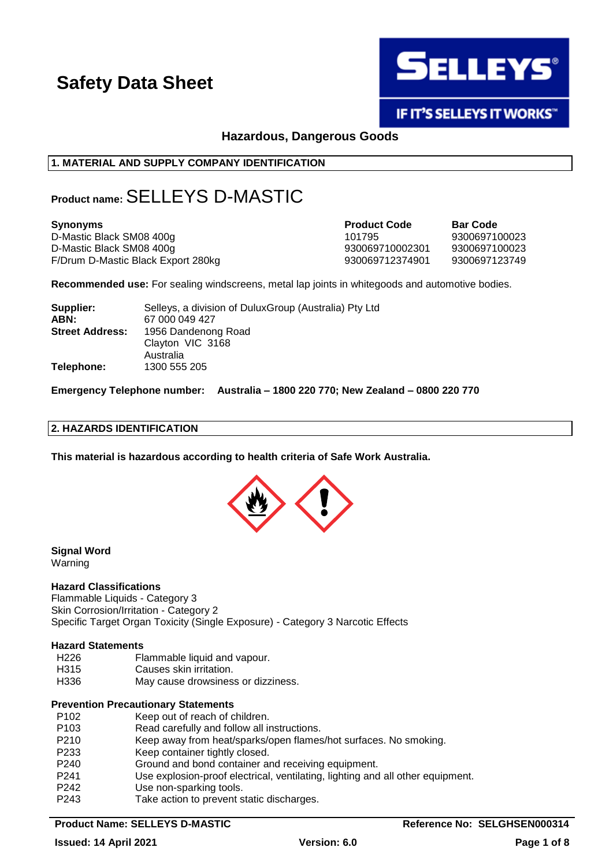

# IF IT'S SELLEYS IT WORKS"

# **Hazardous, Dangerous Goods**

# **1. MATERIAL AND SUPPLY COMPANY IDENTIFICATION**

# **Product name:**SELLEYS D-MASTIC

| <b>Synonyms</b>                    | <b>Product Code</b> | <b>Bar Code</b> |
|------------------------------------|---------------------|-----------------|
| D-Mastic Black SM08 400g           | 101795              | 9300697100023   |
| D-Mastic Black SM08 400g           | 930069710002301     | 9300697100023   |
| F/Drum D-Mastic Black Export 280kg | 930069712374901     | 9300697123749   |

**Recommended use:** For sealing windscreens, metal lap joints in whitegoods and automotive bodies.

| Supplier:              | Selleys, a division of Dulux Group (Australia) Pty Ltd |
|------------------------|--------------------------------------------------------|
| ABN:                   | 67 000 049 427                                         |
| <b>Street Address:</b> | 1956 Dandenong Road                                    |
|                        | Clayton VIC 3168                                       |
|                        | Australia                                              |
| Telephone:             | 1300 555 205                                           |

**Emergency Telephone number: Australia – 1800 220 770; New Zealand – 0800 220 770**

#### **2. HAZARDS IDENTIFICATION**

**This material is hazardous according to health criteria of Safe Work Australia.**



# **Signal Word**

Warning

#### **Hazard Classifications**

Flammable Liquids - Category 3 Skin Corrosion/Irritation - Category 2 Specific Target Organ Toxicity (Single Exposure) - Category 3 Narcotic Effects

#### **Hazard Statements**

- H226 Flammable liquid and vapour.
- H315 Causes skin irritation.
- H336 May cause drowsiness or dizziness.

#### **Prevention Precautionary Statements**

| P <sub>102</sub> | Keep out of reach of children.                                                 |
|------------------|--------------------------------------------------------------------------------|
| P <sub>103</sub> | Read carefully and follow all instructions.                                    |
| P <sub>210</sub> | Keep away from heat/sparks/open flames/hot surfaces. No smoking.               |
| P <sub>233</sub> | Keep container tightly closed.                                                 |
| P <sub>240</sub> | Ground and bond container and receiving equipment.                             |
| P <sub>241</sub> | Use explosion-proof electrical, ventilating, lighting and all other equipment. |
| P <sub>242</sub> | Use non-sparking tools.                                                        |
| P <sub>243</sub> | Take action to prevent static discharges.                                      |

## **Product Name: SELLEYS D-MASTIC Reference No: SELGHSEN000314**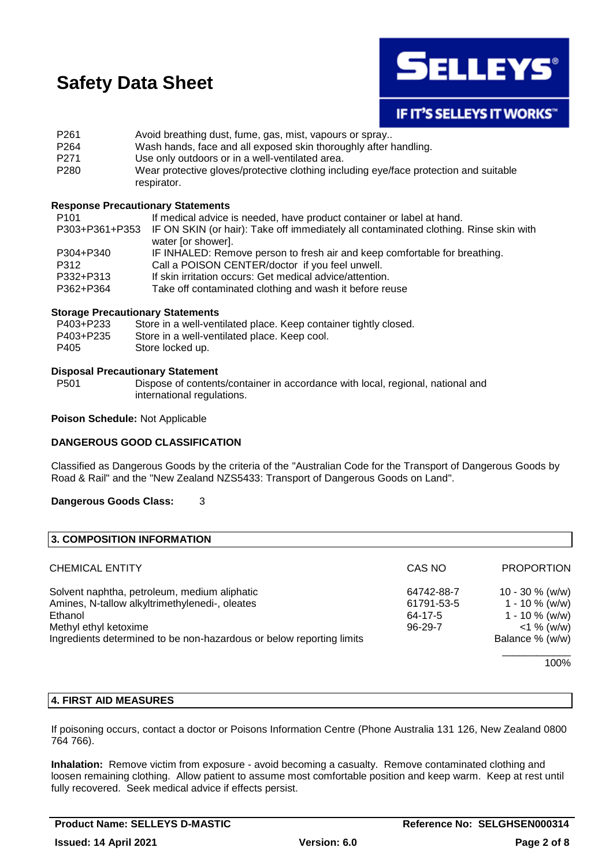

# **IF IT'S SELLEYS IT WORKS"**

| P <sub>261</sub> | Avoid breathing dust, fume, gas, mist, vapours or spray                                              |
|------------------|------------------------------------------------------------------------------------------------------|
| P <sub>264</sub> | Wash hands, face and all exposed skin thoroughly after handling.                                     |
| P <sub>271</sub> | Use only outdoors or in a well-ventilated area.                                                      |
| P <sub>280</sub> | Wear protective gloves/protective clothing including eye/face protection and suitable<br>respirator. |

#### **Response Precautionary Statements**

| If medical advice is needed, have product container or label at hand.                                |
|------------------------------------------------------------------------------------------------------|
| P303+P361+P353 IF ON SKIN (or hair): Take off immediately all contaminated clothing. Rinse skin with |
| water [or shower].                                                                                   |
| IF INHALED: Remove person to fresh air and keep comfortable for breathing.                           |
| Call a POISON CENTER/doctor if you feel unwell.                                                      |
| If skin irritation occurs: Get medical advice/attention.                                             |
| Take off contaminated clothing and wash it before reuse                                              |
|                                                                                                      |

#### **Storage Precautionary Statements**

| P403+P233 | Store in a well-ventilated place. Keep container tightly closed. |
|-----------|------------------------------------------------------------------|
| P403+P235 | Store in a well-ventilated place. Keep cool.                     |
| P405      | Store locked up.                                                 |

#### **Disposal Precautionary Statement**

P501 Dispose of contents/container in accordance with local, regional, national and international regulations.

#### **Poison Schedule:** Not Applicable

## **DANGEROUS GOOD CLASSIFICATION**

Classified as Dangerous Goods by the criteria of the "Australian Code for the Transport of Dangerous Goods by Road & Rail" and the "New Zealand NZS5433: Transport of Dangerous Goods on Land".

#### **Dangerous Goods Class:** 3

| 3. COMPOSITION INFORMATION                                           |            |                   |
|----------------------------------------------------------------------|------------|-------------------|
| <b>CHEMICAL ENTITY</b>                                               | CAS NO     | <b>PROPORTION</b> |
| Solvent naphtha, petroleum, medium aliphatic                         | 64742-88-7 | 10 - 30 $%$ (w/w) |
| Amines, N-tallow alkyltrimethylenedi-, oleates                       | 61791-53-5 | $1 - 10 \%$ (w/w) |
| Ethanol                                                              | 64-17-5    | 1 - 10 $\%$ (w/w) |
| Methyl ethyl ketoxime                                                | 96-29-7    | $<$ 1 % (w/w)     |
| Ingredients determined to be non-hazardous or below reporting limits |            | Balance % (w/w)   |
|                                                                      |            | 100%              |

#### **4. FIRST AID MEASURES**

If poisoning occurs, contact a doctor or Poisons Information Centre (Phone Australia 131 126, New Zealand 0800 764 766).

**Inhalation:** Remove victim from exposure - avoid becoming a casualty. Remove contaminated clothing and loosen remaining clothing. Allow patient to assume most comfortable position and keep warm. Keep at rest until fully recovered. Seek medical advice if effects persist.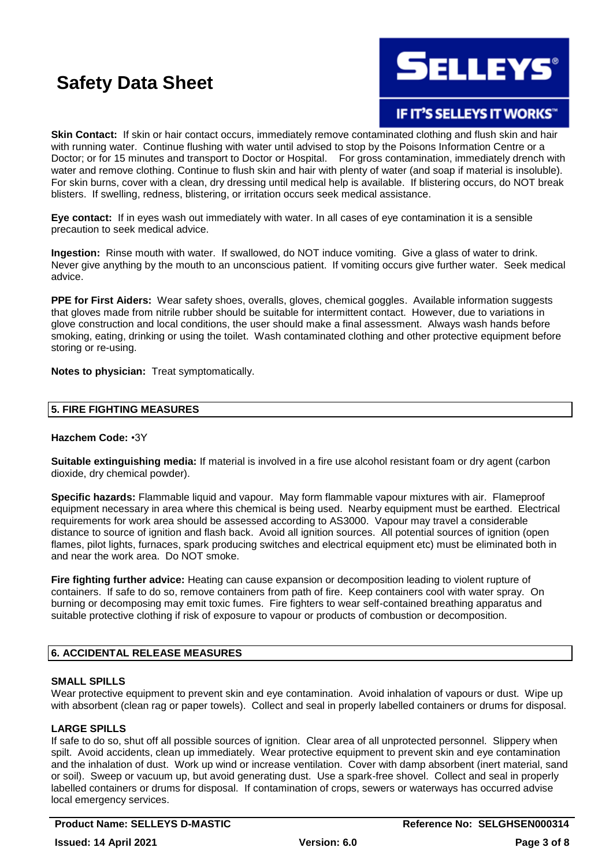**SELLEYS®** 

# **IF IT'S SELLEYS IT WORKS"**

**Skin Contact:** If skin or hair contact occurs, immediately remove contaminated clothing and flush skin and hair with running water. Continue flushing with water until advised to stop by the Poisons Information Centre or a Doctor; or for 15 minutes and transport to Doctor or Hospital. For gross contamination, immediately drench with water and remove clothing. Continue to flush skin and hair with plenty of water (and soap if material is insoluble). For skin burns, cover with a clean, dry dressing until medical help is available. If blistering occurs, do NOT break blisters. If swelling, redness, blistering, or irritation occurs seek medical assistance.

**Eye contact:** If in eyes wash out immediately with water. In all cases of eye contamination it is a sensible precaution to seek medical advice.

**Ingestion:** Rinse mouth with water. If swallowed, do NOT induce vomiting. Give a glass of water to drink. Never give anything by the mouth to an unconscious patient. If vomiting occurs give further water. Seek medical advice.

**PPE for First Aiders:** Wear safety shoes, overalls, gloves, chemical goggles. Available information suggests that gloves made from nitrile rubber should be suitable for intermittent contact. However, due to variations in glove construction and local conditions, the user should make a final assessment. Always wash hands before smoking, eating, drinking or using the toilet. Wash contaminated clothing and other protective equipment before storing or re-using.

**Notes to physician:** Treat symptomatically.

## **5. FIRE FIGHTING MEASURES**

#### **Hazchem Code:** •3Y

**Suitable extinguishing media:** If material is involved in a fire use alcohol resistant foam or dry agent (carbon dioxide, dry chemical powder).

**Specific hazards:** Flammable liquid and vapour. May form flammable vapour mixtures with air. Flameproof equipment necessary in area where this chemical is being used. Nearby equipment must be earthed. Electrical requirements for work area should be assessed according to AS3000. Vapour may travel a considerable distance to source of ignition and flash back. Avoid all ignition sources. All potential sources of ignition (open flames, pilot lights, furnaces, spark producing switches and electrical equipment etc) must be eliminated both in and near the work area. Do NOT smoke.

**Fire fighting further advice:** Heating can cause expansion or decomposition leading to violent rupture of containers. If safe to do so, remove containers from path of fire. Keep containers cool with water spray. On burning or decomposing may emit toxic fumes. Fire fighters to wear self-contained breathing apparatus and suitable protective clothing if risk of exposure to vapour or products of combustion or decomposition.

## **6. ACCIDENTAL RELEASE MEASURES**

#### **SMALL SPILLS**

Wear protective equipment to prevent skin and eye contamination. Avoid inhalation of vapours or dust. Wipe up with absorbent (clean rag or paper towels). Collect and seal in properly labelled containers or drums for disposal.

## **LARGE SPILLS**

If safe to do so, shut off all possible sources of ignition. Clear area of all unprotected personnel. Slippery when spilt. Avoid accidents, clean up immediately. Wear protective equipment to prevent skin and eye contamination and the inhalation of dust. Work up wind or increase ventilation. Cover with damp absorbent (inert material, sand or soil). Sweep or vacuum up, but avoid generating dust. Use a spark-free shovel. Collect and seal in properly labelled containers or drums for disposal. If contamination of crops, sewers or waterways has occurred advise local emergency services.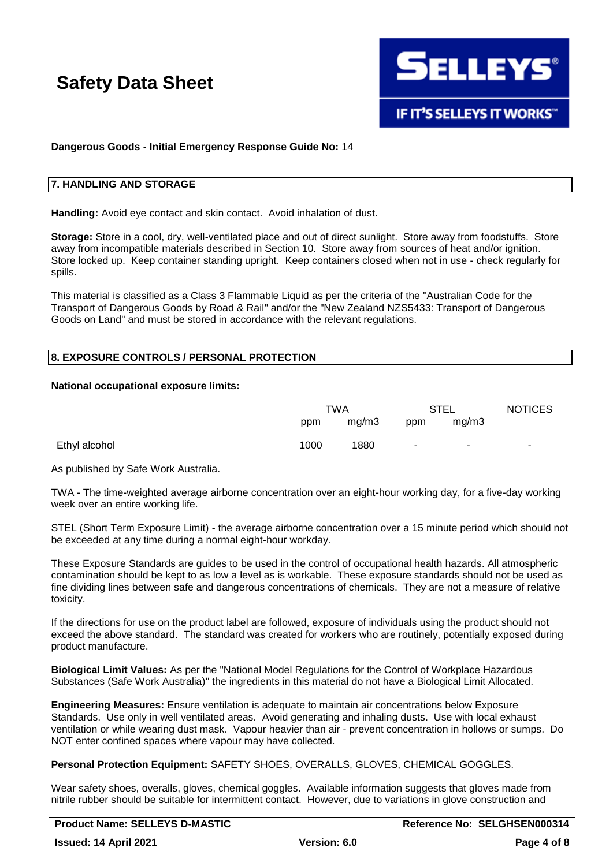

## **Dangerous Goods - Initial Emergency Response Guide No:** 14

#### **7. HANDLING AND STORAGE**

**Handling:** Avoid eye contact and skin contact. Avoid inhalation of dust.

**Storage:** Store in a cool, dry, well-ventilated place and out of direct sunlight. Store away from foodstuffs. Store away from incompatible materials described in Section 10. Store away from sources of heat and/or ignition. Store locked up. Keep container standing upright. Keep containers closed when not in use - check regularly for spills.

This material is classified as a Class 3 Flammable Liquid as per the criteria of the "Australian Code for the Transport of Dangerous Goods by Road & Rail" and/or the "New Zealand NZS5433: Transport of Dangerous Goods on Land" and must be stored in accordance with the relevant regulations.

#### **8. EXPOSURE CONTROLS / PERSONAL PROTECTION**

#### **National occupational exposure limits:**

|               |      | TWA   |                          | <b>STEL</b> | <b>NOTICES</b> |
|---------------|------|-------|--------------------------|-------------|----------------|
|               | ppm  | mg/m3 | ppm                      | mg/m3       |                |
| Ethyl alcohol | 1000 | 1880  | $\overline{\phantom{a}}$ |             |                |

As published by Safe Work Australia.

TWA - The time-weighted average airborne concentration over an eight-hour working day, for a five-day working week over an entire working life.

STEL (Short Term Exposure Limit) - the average airborne concentration over a 15 minute period which should not be exceeded at any time during a normal eight-hour workday.

These Exposure Standards are guides to be used in the control of occupational health hazards. All atmospheric contamination should be kept to as low a level as is workable. These exposure standards should not be used as fine dividing lines between safe and dangerous concentrations of chemicals. They are not a measure of relative toxicity.

If the directions for use on the product label are followed, exposure of individuals using the product should not exceed the above standard. The standard was created for workers who are routinely, potentially exposed during product manufacture.

**Biological Limit Values:** As per the "National Model Regulations for the Control of Workplace Hazardous Substances (Safe Work Australia)" the ingredients in this material do not have a Biological Limit Allocated.

**Engineering Measures:** Ensure ventilation is adequate to maintain air concentrations below Exposure Standards. Use only in well ventilated areas. Avoid generating and inhaling dusts. Use with local exhaust ventilation or while wearing dust mask. Vapour heavier than air - prevent concentration in hollows or sumps. Do NOT enter confined spaces where vapour may have collected.

**Personal Protection Equipment:** SAFETY SHOES, OVERALLS, GLOVES, CHEMICAL GOGGLES.

Wear safety shoes, overalls, gloves, chemical goggles. Available information suggests that gloves made from nitrile rubber should be suitable for intermittent contact. However, due to variations in glove construction and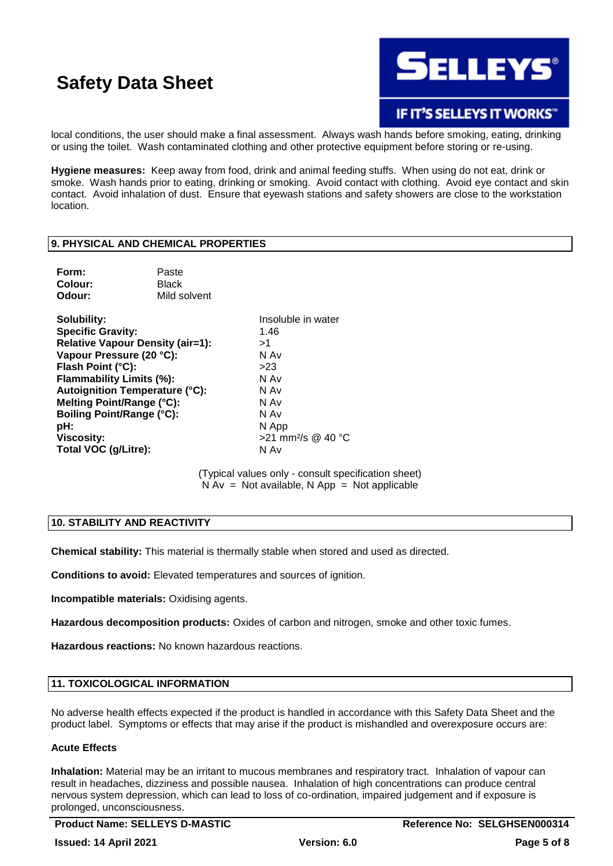

# IF IT'S SELLEYS IT WORKS"

local conditions, the user should make a final assessment. Always wash hands before smoking, eating, drinking or using the toilet. Wash contaminated clothing and other protective equipment before storing or re-using.

**Hygiene measures:** Keep away from food, drink and animal feeding stuffs. When using do not eat, drink or smoke. Wash hands prior to eating, drinking or smoking. Avoid contact with clothing. Avoid eye contact and skin contact. Avoid inhalation of dust. Ensure that eyewash stations and safety showers are close to the workstation location.

#### **9. PHYSICAL AND CHEMICAL PROPERTIES**

| Form:   | Paste        |
|---------|--------------|
| Colour: | <b>Black</b> |
| Odour:  | Mild solvent |

**Solubility:** Insoluble in water **Specific Gravity:** 1.46 **Relative Vapour Density (air=1):** >1 **Vapour Pressure (20 °C):** N Av **Flash Point (°C):** >23 **Flammability Limits (%):** N Av **Autoignition Temperature (°C):** N Av **Melting Point/Range (°C):** N Av **Boiling Point/Range (°C):** N Av **pH:** N App **Viscosity:** >21 mm²/s @ 40 °C **Total VOC (g/Litre):** N Av

(Typical values only - consult specification sheet)  $N Av = Not available, N App = Not applicable$ 

## **10. STABILITY AND REACTIVITY**

**Chemical stability:** This material is thermally stable when stored and used as directed.

**Conditions to avoid:** Elevated temperatures and sources of ignition.

**Incompatible materials:** Oxidising agents.

**Hazardous decomposition products:** Oxides of carbon and nitrogen, smoke and other toxic fumes.

**Hazardous reactions:** No known hazardous reactions.

## **11. TOXICOLOGICAL INFORMATION**

No adverse health effects expected if the product is handled in accordance with this Safety Data Sheet and the product label. Symptoms or effects that may arise if the product is mishandled and overexposure occurs are:

## **Acute Effects**

**Inhalation:** Material may be an irritant to mucous membranes and respiratory tract. Inhalation of vapour can result in headaches, dizziness and possible nausea. Inhalation of high concentrations can produce central nervous system depression, which can lead to loss of co-ordination, impaired judgement and if exposure is prolonged, unconsciousness.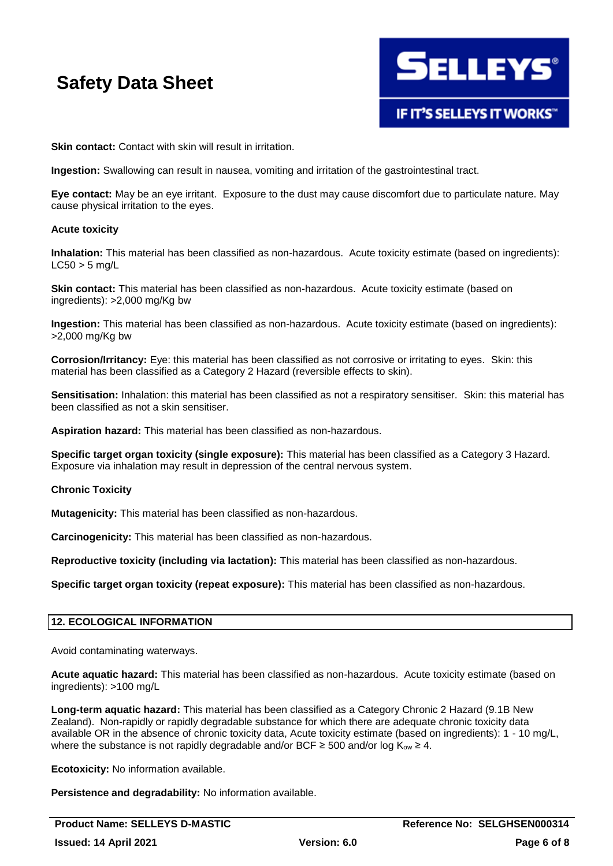

**Skin contact:** Contact with skin will result in irritation.

**Ingestion:** Swallowing can result in nausea, vomiting and irritation of the gastrointestinal tract.

**Eye contact:** May be an eye irritant. Exposure to the dust may cause discomfort due to particulate nature. May cause physical irritation to the eyes.

#### **Acute toxicity**

**Inhalation:** This material has been classified as non-hazardous. Acute toxicity estimate (based on ingredients):  $LC50 > 5$  ma/L

**Skin contact:** This material has been classified as non-hazardous. Acute toxicity estimate (based on ingredients): >2,000 mg/Kg bw

**Ingestion:** This material has been classified as non-hazardous. Acute toxicity estimate (based on ingredients): >2,000 mg/Kg bw

**Corrosion/Irritancy:** Eye: this material has been classified as not corrosive or irritating to eyes. Skin: this material has been classified as a Category 2 Hazard (reversible effects to skin).

**Sensitisation:** Inhalation: this material has been classified as not a respiratory sensitiser. Skin: this material has been classified as not a skin sensitiser.

**Aspiration hazard:** This material has been classified as non-hazardous.

**Specific target organ toxicity (single exposure):** This material has been classified as a Category 3 Hazard. Exposure via inhalation may result in depression of the central nervous system.

## **Chronic Toxicity**

**Mutagenicity:** This material has been classified as non-hazardous.

**Carcinogenicity:** This material has been classified as non-hazardous.

**Reproductive toxicity (including via lactation):** This material has been classified as non-hazardous.

**Specific target organ toxicity (repeat exposure):** This material has been classified as non-hazardous.

## **12. ECOLOGICAL INFORMATION**

Avoid contaminating waterways.

**Acute aquatic hazard:** This material has been classified as non-hazardous. Acute toxicity estimate (based on ingredients): >100 mg/L

**Long-term aquatic hazard:** This material has been classified as a Category Chronic 2 Hazard (9.1B New Zealand). Non-rapidly or rapidly degradable substance for which there are adequate chronic toxicity data available OR in the absence of chronic toxicity data, Acute toxicity estimate (based on ingredients): 1 - 10 mg/L, where the substance is not rapidly degradable and/or BCF  $\geq$  500 and/or log K<sub>ow</sub>  $\geq$  4.

**Ecotoxicity:** No information available.

**Persistence and degradability:** No information available.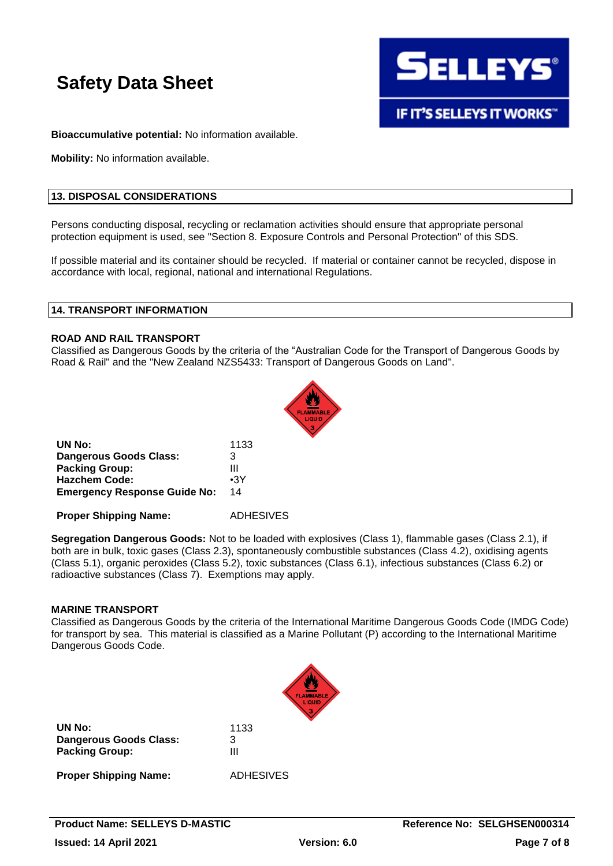

**IF IT'S SELLEYS IT WORKS"** 

**Bioaccumulative potential:** No information available.

**Mobility:** No information available.

#### **13. DISPOSAL CONSIDERATIONS**

Persons conducting disposal, recycling or reclamation activities should ensure that appropriate personal protection equipment is used, see "Section 8. Exposure Controls and Personal Protection" of this SDS.

If possible material and its container should be recycled. If material or container cannot be recycled, dispose in accordance with local, regional, national and international Regulations.

#### **14. TRANSPORT INFORMATION**

#### **ROAD AND RAIL TRANSPORT**

Classified as Dangerous Goods by the criteria of the "Australian Code for the Transport of Dangerous Goods by Road & Rail" and the "New Zealand NZS5433: Transport of Dangerous Goods on Land".



| UN No:                              | 1133       |
|-------------------------------------|------------|
| Dangerous Goods Class:              | 3          |
| <b>Packing Group:</b>               | Ш          |
| <b>Hazchem Code:</b>                | $\cdot$ 3Y |
| <b>Emergency Response Guide No:</b> | 14         |

**Proper Shipping Name:** ADHESIVES

**Segregation Dangerous Goods:** Not to be loaded with explosives (Class 1), flammable gases (Class 2.1), if both are in bulk, toxic gases (Class 2.3), spontaneously combustible substances (Class 4.2), oxidising agents (Class 5.1), organic peroxides (Class 5.2), toxic substances (Class 6.1), infectious substances (Class 6.2) or radioactive substances (Class 7). Exemptions may apply.

#### **MARINE TRANSPORT**

Classified as Dangerous Goods by the criteria of the International Maritime Dangerous Goods Code (IMDG Code) for transport by sea. This material is classified as a Marine Pollutant (P) according to the International Maritime Dangerous Goods Code.



| UN No:                        | 1133             |
|-------------------------------|------------------|
| <b>Dangerous Goods Class:</b> | 3                |
| <b>Packing Group:</b>         | Ш                |
| <b>Proper Shipping Name:</b>  | <b>ADHESIVES</b> |